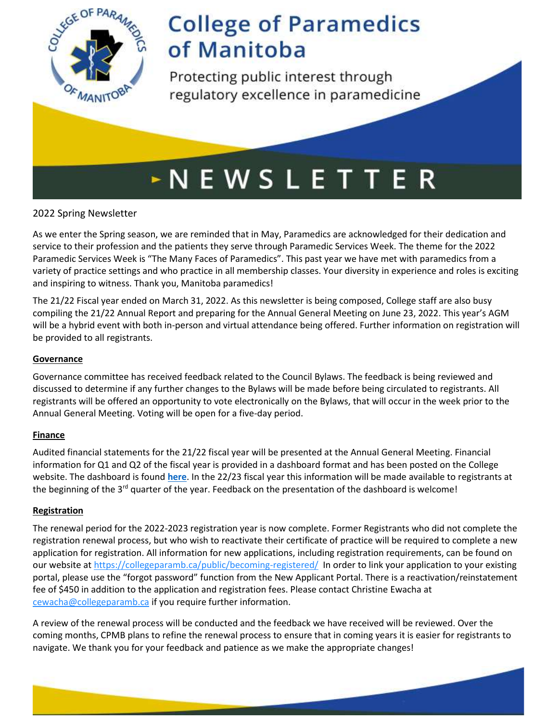

Protecting public interest through regulatory excellence in paramedicine

## $\sim$  N E W S L E T T E R

### 2022 Spring Newsletter

As we enter the Spring season, we are reminded that in May, Paramedics are acknowledged for their dedication and service to their profession and the patients they serve through Paramedic Services Week. The theme for the 2022 Paramedic Services Week is "The Many Faces of Paramedics". This past year we have met with paramedics from a variety of practice settings and who practice in all membership classes. Your diversity in experience and roles is exciting and inspiring to witness. Thank you, Manitoba paramedics!

The 21/22 Fiscal year ended on March 31, 2022. As this newsletter is being composed, College staff are also busy compiling the 21/22 Annual Report and preparing for the Annual General Meeting on June 23, 2022. This year's AGM will be a hybrid event with both in-person and virtual attendance being offered. Further information on registration will be provided to all registrants.

### **Governance**

Governance committee has received feedback related to the Council Bylaws. The feedback is being reviewed and discussed to determine if any further changes to the Bylaws will be made before being circulated to registrants. All registrants will be offered an opportunity to vote electronically on the Bylaws, that will occur in the week prior to the Annual General Meeting. Voting will be open for a five-day period.

### **Finance**

Audited financial statements for the 21/22 fiscal year will be presented at the Annual General Meeting. Financial information for Q1 and Q2 of the fiscal year is provided in a dashboard format and has been posted on the College website. The dashboard is found **[here](https://collegeparamb.ca/wp-content/uploads/2022/05/Financial-Dashboard-Q1Q2-2021.pdf)**. In the 22/23 fiscal year this information will be made available to registrants at the beginning of the  $3^{rd}$  quarter of the year. Feedback on the presentation of the dashboard is welcome!

### **Registration**

The renewal period for the 2022-2023 registration year is now complete. Former Registrants who did not complete the registration renewal process, but who wish to reactivate their certificate of practice will be required to complete a new application for registration. All information for new applications, including registration requirements, can be found on our website at<https://collegeparamb.ca/public/becoming-registered/> In order to link your application to your existing portal, please use the "forgot password" function from the New Applicant Portal. There is a reactivation/reinstatement fee of \$450 in addition to the application and registration fees. Please contact Christine Ewacha at [cewacha@collegeparamb.ca](mailto:cewacha@collegeparamb.ca) if you require further information.

A review of the renewal process will be conducted and the feedback we have received will be reviewed. Over the coming months, CPMB plans to refine the renewal process to ensure that in coming years it is easier for registrants to navigate. We thank you for your feedback and patience as we make the appropriate changes!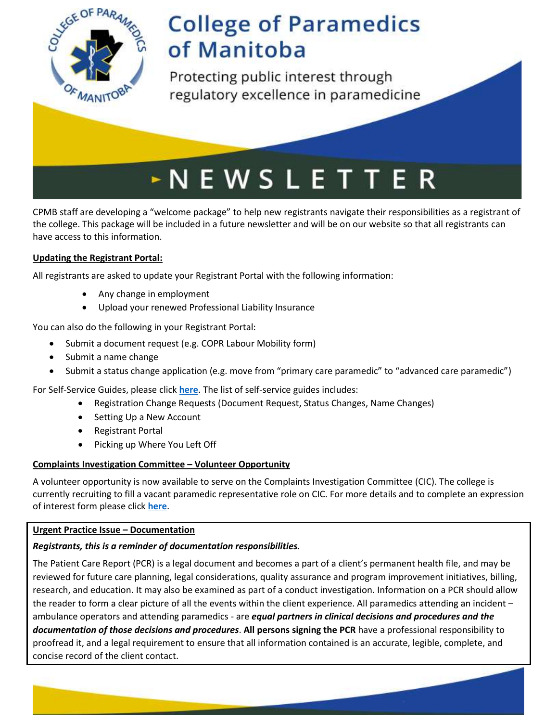

Protecting public interest through regulatory excellence in paramedicine

# $\triangleright$  N E W S L E T T E R

CPMB staff are developing a "welcome package" to help new registrants navigate their responsibilities as a registrant of the college. This package will be included in a future newsletter and will be on our website so that all registrants can have access to this information.

### **Updating the Registrant Portal:**

All registrants are asked to update your Registrant Portal with the following information:

- Any change in employment
- Upload your renewed Professional Liability Insurance

You can also do the following in your Registrant Portal:

- Submit a document request (e.g. COPR Labour Mobility form)
- Submit a name change
- Submit a status change application (e.g. move from "primary care paramedic" to "advanced care paramedic")

For Self-Service Guides, please click **[here](https://collegeparamb.ca/public/becoming-registered/)**. The list of self-service guides includes:

- Registration Change Requests (Document Request, Status Changes, Name Changes)
- Setting Up a New Account
- Registrant Portal
- Picking up Where You Left Off

### **Complaints Investigation Committee – Volunteer Opportunity**

A volunteer opportunity is now available to serve on the Complaints Investigation Committee (CIC). The college is currently recruiting to fill a vacant paramedic representative role on CIC. For more details and to complete an expression of interest form please click **[here](https://collegeparamb.ca/wp-content/uploads/2022/05/Expression-of-Interest-CIC-05.05.22.pdf)**.

### **Urgent Practice Issue – Documentation**

### *Registrants, this is a reminder of documentation responsibilities.*

The Patient Care Report (PCR) is a legal document and becomes a part of a client's permanent health file, and may be reviewed for future care planning, legal considerations, quality assurance and program improvement initiatives, billing, research, and education. It may also be examined as part of a conduct investigation. Information on a PCR should allow the reader to form a clear picture of all the events within the client experience. All paramedics attending an incident – ambulance operators and attending paramedics - are *equal partners in clinical decisions and procedures and the documentation of those decisions and procedures*. **All persons signing the PCR** have a professional responsibility to proofread it, and a legal requirement to ensure that all information contained is an accurate, legible, complete, and concise record of the client contact.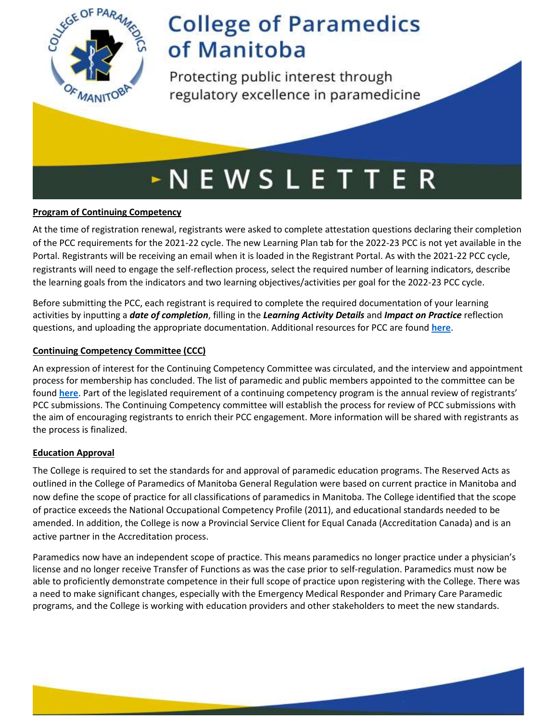

Protecting public interest through regulatory excellence in paramedicine

# $\sim$  N E W S L E T T E R

### **Program of Continuing Competency**

At the time of registration renewal, registrants were asked to complete attestation questions declaring their completion of the PCC requirements for the 2021-22 cycle. The new Learning Plan tab for the 2022-23 PCC is not yet available in the Portal. Registrants will be receiving an email when it is loaded in the Registrant Portal. As with the 2021-22 PCC cycle, registrants will need to engage the self-reflection process, select the required number of learning indicators, describe the learning goals from the indicators and two learning objectives/activities per goal for the 2022-23 PCC cycle.

Before submitting the PCC, each registrant is required to complete the required documentation of your learning activities by inputting a *date of completion*, filling in the *Learning Activity Details* and *Impact on Practice* reflection questions, and uploading the appropriate documentation. Additional resources for PCC are found **[here](https://collegeparamb.ca/professional-practice/program-for-continuing-competency/)**.

### **Continuing Competency Committee (CCC)**

An expression of interest for the Continuing Competency Committee was circulated, and the interview and appointment process for membership has concluded. The list of paramedic and public members appointed to the committee can be found **[here](https://collegeparamb.ca/professional-practice/continuing-competency-committee/)**. Part of the legislated requirement of a continuing competency program is the annual review of registrants' PCC submissions. The Continuing Competency committee will establish the process for review of PCC submissions with the aim of encouraging registrants to enrich their PCC engagement. More information will be shared with registrants as the process is finalized.

### **Education Approval**

The College is required to set the standards for and approval of paramedic education programs. The Reserved Acts as outlined in the College of Paramedics of Manitoba General Regulation were based on current practice in Manitoba and now define the scope of practice for all classifications of paramedics in Manitoba. The College identified that the scope of practice exceeds the National Occupational Competency Profile (2011), and educational standards needed to be amended. In addition, the College is now a Provincial Service Client for Equal Canada (Accreditation Canada) and is an active partner in the Accreditation process.

Paramedics now have an independent scope of practice. This means paramedics no longer practice under a physician's license and no longer receive Transfer of Functions as was the case prior to self-regulation. Paramedics must now be able to proficiently demonstrate competence in their full scope of practice upon registering with the College. There was a need to make significant changes, especially with the Emergency Medical Responder and Primary Care Paramedic programs, and the College is working with education providers and other stakeholders to meet the new standards.